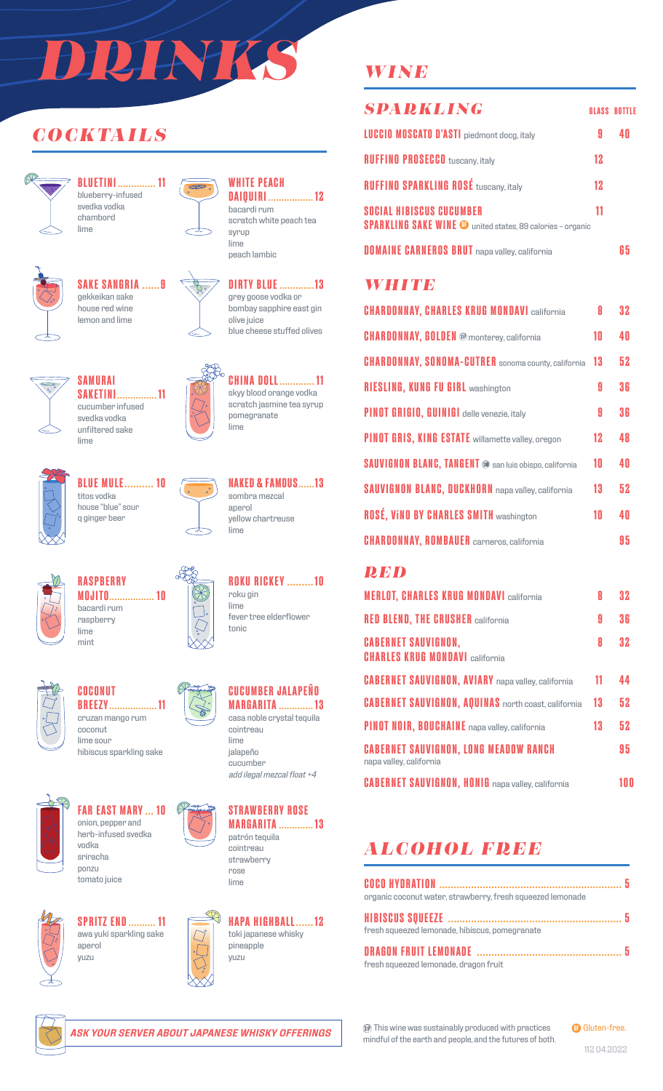# *DRINKS*

## *COCKTAILS*



**BLUETINI .............. 11** blueberry-infused svedka vodka chambord lime



## **SAKE SANGRIA ......9** gekkeikan sake



**SAKETINI............... 11** cucumber infused svedka vodka unfiltered sake





#### **WHITE PEACH DAIQUIRI ................. 12** bacardi rum

scratch white peach tea syrup lime peach lambic



grey goose vodka or bombay sapphire east gin olive juice blue cheese stuffed olives



 $\infty$ 

**CHINA DOLL............. 11** skyy blood orange vodka scratch jasmine tea syrup pomegranate lime



**BLUE MULE.......... 10** titos vodka house "blue" sour q ginger beer

**SAMURAI**

lime



**NAKED & FAMOUS......13** sombra mezcal aperol yellow chartreuse lime

**ROKU RICKEY .........10**

fever tree elderflower

roku gin lime

tonic



lime mint

#### **RASPBERRY MOJITO................. 10** bacardi rum raspberry



**COCONUT BREEZY.................. 11** cruzan mango rum coconut lime sour

hibiscus sparkling sake



**FAR EAST MARY ... 10** onion, pepper and herb-infused svedka vodka sriracha ponzu



tomato juice



**SPRITZ END.......... 11** awa yuki sparkling sake aperol yuzu





patrón tequila cointreau strawberry rose lime



## *WINE*

| <b>SPARKLING</b>                                                                                     |    | <b>GLASS BOTTLE</b> |
|------------------------------------------------------------------------------------------------------|----|---------------------|
| <b>LUCCIO MOSCATO D'ASTI</b> piedmont docg, italy                                                    | 9  |                     |
| <b>RUFFINO PROSECCO</b> tuscany, italy                                                               | 12 |                     |
| <b>RUFFINO SPARKLING ROSÉ tuscany, italy</b>                                                         | 12 |                     |
| <b>SOCIAL HIBISCUS CUCUMBER</b><br><b>SPARKLING SAKE WINE @</b> united states, 89 calories - organic | 11 |                     |
| <b>DOMAINE CARNEROS BRUT</b> napa valley, california                                                 |    | li h                |

## *WHITE*

| <b>CHARDONNAY, CHARLES KRUG MONDAVI california</b>            | Я  | 32 |
|---------------------------------------------------------------|----|----|
| <b>CHARDONNAY, GOLDEN</b> ® monterey, california              | 10 | 40 |
| <b>CHARDONNAY, SONOMA-CUTRER</b> sonoma county, california    | 13 | 52 |
| <b>RIESLING, KUNG FU GIRL washington</b>                      | 9  | 36 |
| <b>PINOT GRIGIO, GUINIGI</b> delle venezie, italy             | 9  | 36 |
| PINOT GRIS, KING ESTATE willamette valley, oregon             | 12 | 48 |
| <b>SAUVIGNON BLANC, TANGENT ®</b> san luis obispo, california | 10 | 40 |
| <b>SAUVIGNON BLANC, DUCKHORN</b> napa valley, california      | 13 | 52 |
| <b>ROSÉ, VINO BY CHARLES SMITH washington</b>                 | 10 | 40 |
| <b>CHARDONNAY, ROMBAUER</b> carneros, california              |    | 95 |

## *RED*

| <b>MERLOT, CHARLES KRUG MONDAVI california</b>                          | 8  | 32 |
|-------------------------------------------------------------------------|----|----|
| <b>RED BLEND, THE CRUSHER california</b>                                | 9  | 36 |
| <b>CABERNET SAUVIGNON,</b><br><b>CHARLES KRUG MONDAVI california</b>    | 8  | 32 |
| <b>CABERNET SAUVIGNON, AVIARY</b> napa valley, california               | 11 | 44 |
| <b>CABERNET SAUVIGNON, AQUINAS</b> north coast, california              | 13 | 52 |
| PINOT NOIR, BOUCHAINE napa valley, california                           | 13 | 52 |
| <b>CABERNET SAUVIGNON, LONG MEADOW RANCH</b><br>napa valley, california |    | 95 |
| <b>CABERNET SAUVIGNON, HONIG</b> napa valley, california                |    | 00 |

## *ALCOHOL FREE*

| organic coconut water, strawberry, fresh squeezed lemonade |  |
|------------------------------------------------------------|--|
|                                                            |  |
| fresh squeezed lemonade, hibiscus, pomegranate             |  |
|                                                            |  |
| fresh squeezed lemonade, dragon fruit                      |  |



This wine was sustainably produced with practices mindful of the earth and people, and the futures of both. **GB** Gluten-free.

112 04.2022